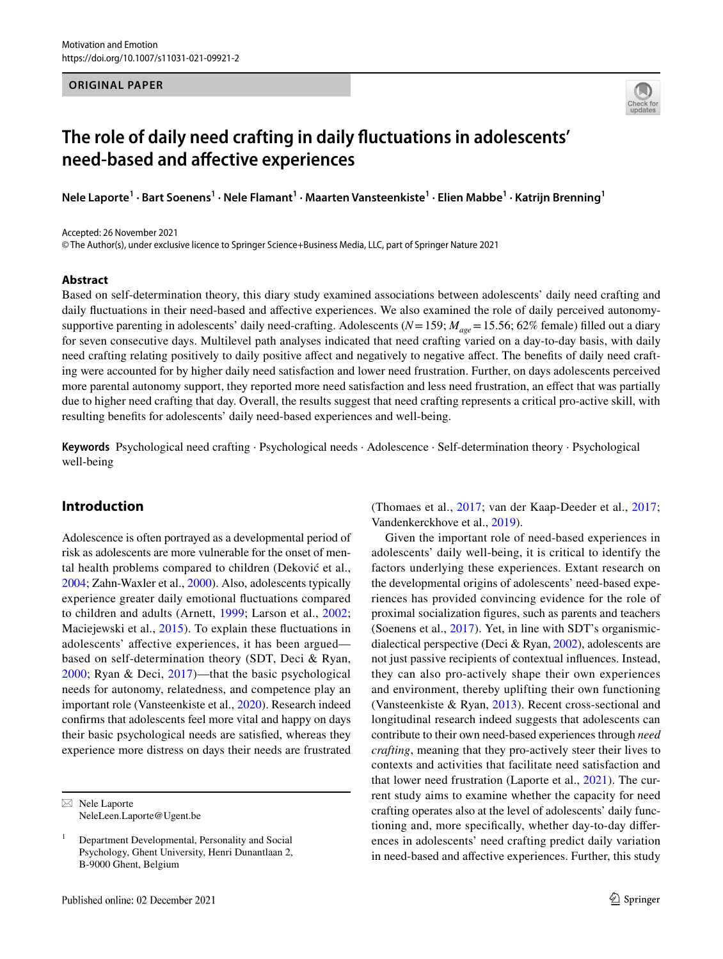### **ORIGINAL PAPER**



# **The role of daily need crafting in daily fuctuations in adolescents' need‑based and afective experiences**

**Nele Laporte<sup>1</sup> · Bart Soenens1 · Nele Flamant1 · Maarten Vansteenkiste<sup>1</sup> · Elien Mabbe1 · Katrijn Brenning1**

Accepted: 26 November 2021

© The Author(s), under exclusive licence to Springer Science+Business Media, LLC, part of Springer Nature 2021

#### **Abstract**

Based on self-determination theory, this diary study examined associations between adolescents' daily need crafting and daily fluctuations in their need-based and affective experiences. We also examined the role of daily perceived autonomysupportive parenting in adolescents' daily need-crafting. Adolescents ( $N=159$ ;  $M_{age}=15.56$ ; 62% female) filled out a diary for seven consecutive days. Multilevel path analyses indicated that need crafting varied on a day-to-day basis, with daily need crafting relating positively to daily positive afect and negatively to negative afect. The benefts of daily need crafting were accounted for by higher daily need satisfaction and lower need frustration. Further, on days adolescents perceived more parental autonomy support, they reported more need satisfaction and less need frustration, an efect that was partially due to higher need crafting that day. Overall, the results suggest that need crafting represents a critical pro-active skill, with resulting benefts for adolescents' daily need-based experiences and well-being.

**Keywords** Psychological need crafting · Psychological needs · Adolescence · Self-determination theory · Psychological well-being

# **Introduction**

Adolescence is often portrayed as a developmental period of risk as adolescents are more vulnerable for the onset of mental health problems compared to children (Deković et al., [2004](#page-10-0); Zahn-Waxler et al., [2000](#page-12-0)). Also, adolescents typically experience greater daily emotional fuctuations compared to children and adults (Arnett, [1999](#page-10-1); Larson et al., [2002](#page-10-2); Maciejewski et al., [2015](#page-11-0)). To explain these fuctuations in adolescents' afective experiences, it has been argued based on self-determination theory (SDT, Deci & Ryan, [2000;](#page-10-3) Ryan & Deci, [2017](#page-11-1))—that the basic psychological needs for autonomy, relatedness, and competence play an important role (Vansteenkiste et al., [2020\)](#page-11-2). Research indeed confrms that adolescents feel more vital and happy on days their basic psychological needs are satisfed, whereas they experience more distress on days their needs are frustrated

 $\boxtimes$  Nele Laporte NeleLeen.Laporte@Ugent.be (Thomaes et al., [2017;](#page-11-3) van der Kaap-Deeder et al., [2017](#page-11-4); Vandenkerckhove et al., [2019](#page-11-5)).

Given the important role of need-based experiences in adolescents' daily well-being, it is critical to identify the factors underlying these experiences. Extant research on the developmental origins of adolescents' need-based experiences has provided convincing evidence for the role of proximal socialization fgures, such as parents and teachers (Soenens et al., [2017](#page-11-6)). Yet, in line with SDT's organismicdialectical perspective (Deci & Ryan, [2002](#page-10-4)), adolescents are not just passive recipients of contextual infuences. Instead, they can also pro-actively shape their own experiences and environment, thereby uplifting their own functioning (Vansteenkiste & Ryan, [2013](#page-11-7)). Recent cross-sectional and longitudinal research indeed suggests that adolescents can contribute to their own need-based experiences through *need crafting*, meaning that they pro-actively steer their lives to contexts and activities that facilitate need satisfaction and that lower need frustration (Laporte et al., [2021\)](#page-10-5). The current study aims to examine whether the capacity for need crafting operates also at the level of adolescents' daily functioning and, more specifcally, whether day-to-day diferences in adolescents' need crafting predict daily variation in need-based and afective experiences. Further, this study

<sup>1</sup> Department Developmental, Personality and Social Psychology, Ghent University, Henri Dunantlaan 2, B-9000 Ghent, Belgium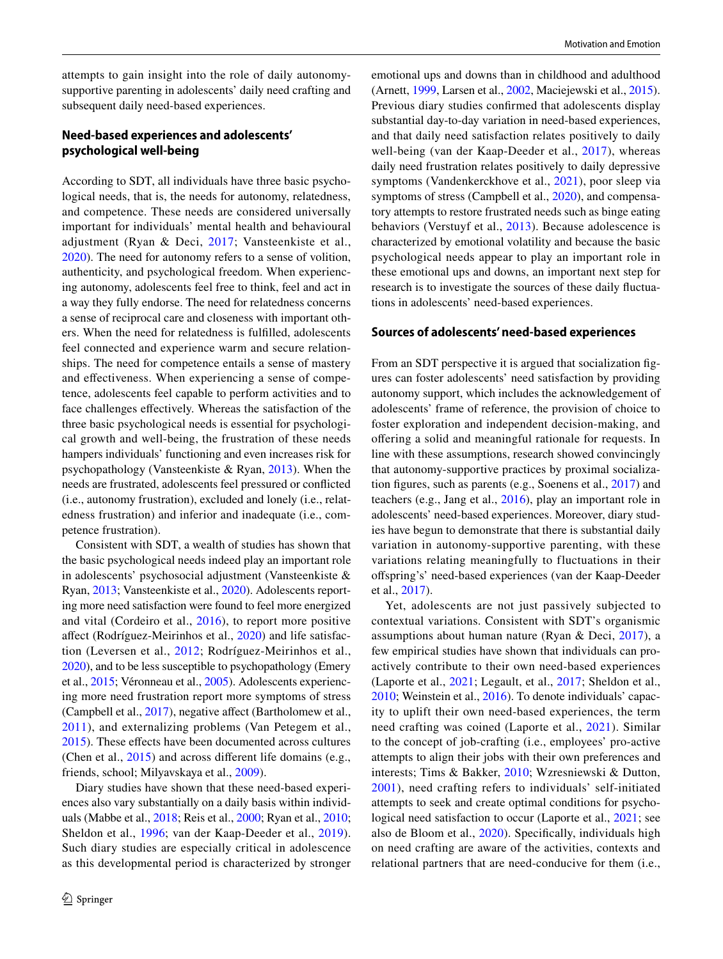attempts to gain insight into the role of daily autonomysupportive parenting in adolescents' daily need crafting and subsequent daily need-based experiences.

## **Need‑based experiences and adolescents' psychological well‑being**

According to SDT, all individuals have three basic psychological needs, that is, the needs for autonomy, relatedness, and competence. These needs are considered universally important for individuals' mental health and behavioural adjustment (Ryan & Deci, [2017](#page-11-1); Vansteenkiste et al., [2020](#page-11-2)). The need for autonomy refers to a sense of volition, authenticity, and psychological freedom. When experiencing autonomy, adolescents feel free to think, feel and act in a way they fully endorse. The need for relatedness concerns a sense of reciprocal care and closeness with important others. When the need for relatedness is fulflled, adolescents feel connected and experience warm and secure relationships. The need for competence entails a sense of mastery and efectiveness. When experiencing a sense of competence, adolescents feel capable to perform activities and to face challenges efectively. Whereas the satisfaction of the three basic psychological needs is essential for psychological growth and well-being, the frustration of these needs hampers individuals' functioning and even increases risk for psychopathology (Vansteenkiste & Ryan, [2013](#page-11-7)). When the needs are frustrated, adolescents feel pressured or conficted (i.e., autonomy frustration), excluded and lonely (i.e., relatedness frustration) and inferior and inadequate (i.e., competence frustration).

Consistent with SDT, a wealth of studies has shown that the basic psychological needs indeed play an important role in adolescents' psychosocial adjustment (Vansteenkiste & Ryan, [2013](#page-11-7); Vansteenkiste et al., [2020\)](#page-11-2). Adolescents reporting more need satisfaction were found to feel more energized and vital (Cordeiro et al., [2016\)](#page-10-6), to report more positive afect (Rodríguez-Meirinhos et al., [2020\)](#page-11-8) and life satisfaction (Leversen et al., [2012;](#page-10-7) Rodríguez-Meirinhos et al., [2020\)](#page-11-8), and to be less susceptible to psychopathology (Emery et al., [2015;](#page-10-8) Véronneau et al., [2005](#page-11-9)). Adolescents experiencing more need frustration report more symptoms of stress (Campbell et al., [2017](#page-10-9)), negative afect (Bartholomew et al., [2011\)](#page-10-10), and externalizing problems (Van Petegem et al., [2015](#page-11-10)). These effects have been documented across cultures (Chen et al., [2015\)](#page-10-11) and across diferent life domains (e.g., friends, school; Milyavskaya et al., [2009\)](#page-11-11).

Diary studies have shown that these need-based experiences also vary substantially on a daily basis within individuals (Mabbe et al., [2018](#page-11-12); Reis et al., [2000;](#page-11-13) Ryan et al., [2010](#page-11-14); Sheldon et al., [1996](#page-11-15); van der Kaap-Deeder et al., [2019](#page-11-16)). Such diary studies are especially critical in adolescence as this developmental period is characterized by stronger emotional ups and downs than in childhood and adulthood (Arnett, [1999,](#page-10-1) Larsen et al., [2002](#page-10-2), Maciejewski et al., [2015](#page-11-0)). Previous diary studies confrmed that adolescents display substantial day-to-day variation in need-based experiences, and that daily need satisfaction relates positively to daily well-being (van der Kaap-Deeder et al., [2017\)](#page-11-4), whereas daily need frustration relates positively to daily depressive symptoms (Vandenkerckhove et al., [2021\)](#page-11-17), poor sleep via symptoms of stress (Campbell et al., [2020](#page-10-12)), and compensatory attempts to restore frustrated needs such as binge eating behaviors (Verstuyf et al., [2013\)](#page-11-18). Because adolescence is characterized by emotional volatility and because the basic psychological needs appear to play an important role in these emotional ups and downs, an important next step for research is to investigate the sources of these daily fuctuations in adolescents' need-based experiences.

#### **Sources of adolescents' need‑based experiences**

From an SDT perspective it is argued that socialization fgures can foster adolescents' need satisfaction by providing autonomy support, which includes the acknowledgement of adolescents' frame of reference, the provision of choice to foster exploration and independent decision-making, and ofering a solid and meaningful rationale for requests. In line with these assumptions, research showed convincingly that autonomy-supportive practices by proximal socialization fgures, such as parents (e.g., Soenens et al., [2017\)](#page-11-6) and teachers (e.g., Jang et al., [2016](#page-10-13)), play an important role in adolescents' need-based experiences. Moreover, diary studies have begun to demonstrate that there is substantial daily variation in autonomy-supportive parenting, with these variations relating meaningfully to fluctuations in their ofspring's' need-based experiences (van der Kaap-Deeder et al., [2017\)](#page-11-4).

Yet, adolescents are not just passively subjected to contextual variations. Consistent with SDT's organismic assumptions about human nature (Ryan & Deci, [2017\)](#page-11-1), a few empirical studies have shown that individuals can proactively contribute to their own need-based experiences (Laporte et al., [2021;](#page-10-5) Legault, et al., [2017](#page-10-14); Sheldon et al., [2010](#page-11-19); Weinstein et al., [2016\)](#page-12-1). To denote individuals' capacity to uplift their own need-based experiences, the term need crafting was coined (Laporte et al., [2021\)](#page-10-5). Similar to the concept of job-crafting (i.e., employees' pro-active attempts to align their jobs with their own preferences and interests; Tims & Bakker, [2010](#page-11-20); Wzresniewski & Dutton, [2001](#page-12-2)), need crafting refers to individuals' self-initiated attempts to seek and create optimal conditions for psychological need satisfaction to occur (Laporte et al., [2021;](#page-10-5) see also de Bloom et al., [2020](#page-10-15)). Specifcally, individuals high on need crafting are aware of the activities, contexts and relational partners that are need-conducive for them (i.e.,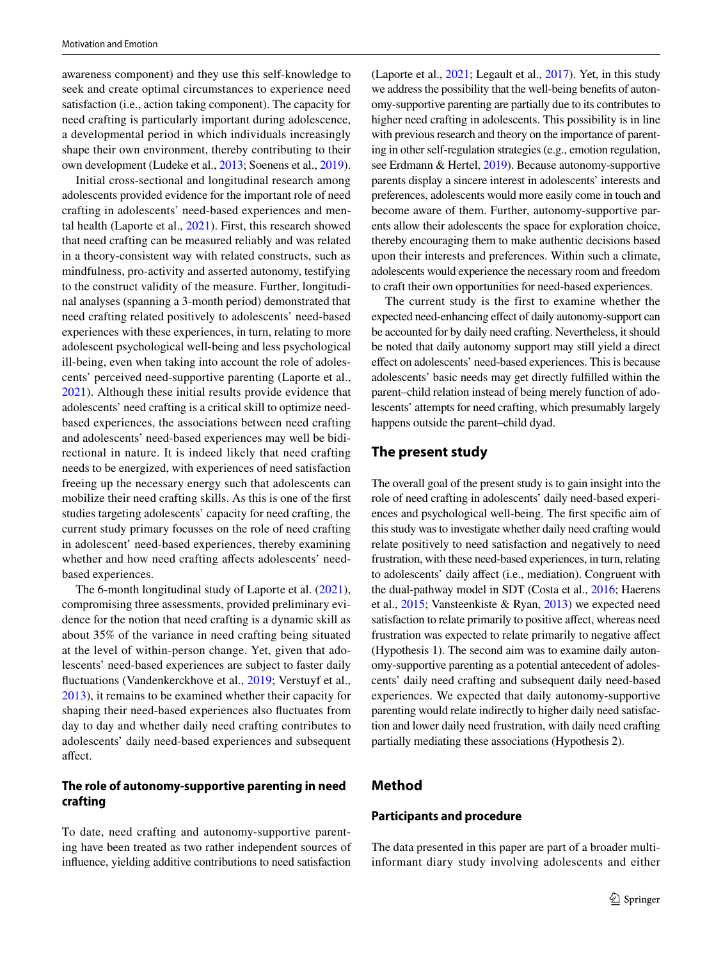awareness component) and they use this self-knowledge to seek and create optimal circumstances to experience need satisfaction (i.e., action taking component). The capacity for need crafting is particularly important during adolescence, a developmental period in which individuals increasingly shape their own environment, thereby contributing to their own development (Ludeke et al., [2013](#page-11-21); Soenens et al., [2019](#page-11-22)).

Initial cross-sectional and longitudinal research among adolescents provided evidence for the important role of need crafting in adolescents' need-based experiences and mental health (Laporte et al., [2021\)](#page-10-5). First, this research showed that need crafting can be measured reliably and was related in a theory-consistent way with related constructs, such as mindfulness, pro-activity and asserted autonomy, testifying to the construct validity of the measure. Further, longitudinal analyses (spanning a 3-month period) demonstrated that need crafting related positively to adolescents' need-based experiences with these experiences, in turn, relating to more adolescent psychological well-being and less psychological ill-being, even when taking into account the role of adolescents' perceived need-supportive parenting (Laporte et al., [2021](#page-10-5)). Although these initial results provide evidence that adolescents' need crafting is a critical skill to optimize needbased experiences, the associations between need crafting and adolescents' need-based experiences may well be bidirectional in nature. It is indeed likely that need crafting needs to be energized, with experiences of need satisfaction freeing up the necessary energy such that adolescents can mobilize their need crafting skills. As this is one of the frst studies targeting adolescents' capacity for need crafting, the current study primary focusses on the role of need crafting in adolescent' need-based experiences, thereby examining whether and how need crafting affects adolescents' needbased experiences.

The 6-month longitudinal study of Laporte et al. ([2021](#page-10-5)), compromising three assessments, provided preliminary evidence for the notion that need crafting is a dynamic skill as about 35% of the variance in need crafting being situated at the level of within-person change. Yet, given that adolescents' need-based experiences are subject to faster daily fuctuations (Vandenkerckhove et al., [2019](#page-11-5); Verstuyf et al., [2013](#page-11-18)), it remains to be examined whether their capacity for shaping their need-based experiences also fuctuates from day to day and whether daily need crafting contributes to adolescents' daily need-based experiences and subsequent afect.

# **The role of autonomy‑supportive parenting in need crafting**

To date, need crafting and autonomy-supportive parenting have been treated as two rather independent sources of infuence, yielding additive contributions to need satisfaction (Laporte et al., [2021;](#page-10-5) Legault et al., [2017\)](#page-10-14). Yet, in this study we address the possibility that the well-being benefts of autonomy-supportive parenting are partially due to its contributes to higher need crafting in adolescents. This possibility is in line with previous research and theory on the importance of parenting in other self-regulation strategies (e.g., emotion regulation, see Erdmann & Hertel, [2019\)](#page-10-16). Because autonomy-supportive parents display a sincere interest in adolescents' interests and preferences, adolescents would more easily come in touch and become aware of them. Further, autonomy-supportive parents allow their adolescents the space for exploration choice, thereby encouraging them to make authentic decisions based upon their interests and preferences. Within such a climate, adolescents would experience the necessary room and freedom to craft their own opportunities for need-based experiences.

The current study is the first to examine whether the expected need-enhancing effect of daily autonomy-support can be accounted for by daily need crafting. Nevertheless, it should be noted that daily autonomy support may still yield a direct efect on adolescents' need-based experiences. This is because adolescents' basic needs may get directly fulflled within the parent–child relation instead of being merely function of adolescents' attempts for need crafting, which presumably largely happens outside the parent–child dyad.

## **The present study**

The overall goal of the present study is to gain insight into the role of need crafting in adolescents' daily need-based experiences and psychological well-being. The frst specifc aim of this study was to investigate whether daily need crafting would relate positively to need satisfaction and negatively to need frustration, with these need-based experiences, in turn, relating to adolescents' daily afect (i.e., mediation). Congruent with the dual-pathway model in SDT (Costa et al., [2016;](#page-10-17) Haerens et al., [2015](#page-10-18); Vansteenkiste & Ryan, [2013](#page-11-7)) we expected need satisfaction to relate primarily to positive affect, whereas need frustration was expected to relate primarily to negative afect (Hypothesis 1). The second aim was to examine daily autonomy-supportive parenting as a potential antecedent of adolescents' daily need crafting and subsequent daily need-based experiences. We expected that daily autonomy-supportive parenting would relate indirectly to higher daily need satisfaction and lower daily need frustration, with daily need crafting partially mediating these associations (Hypothesis 2).

## **Method**

### **Participants and procedure**

The data presented in this paper are part of a broader multiinformant diary study involving adolescents and either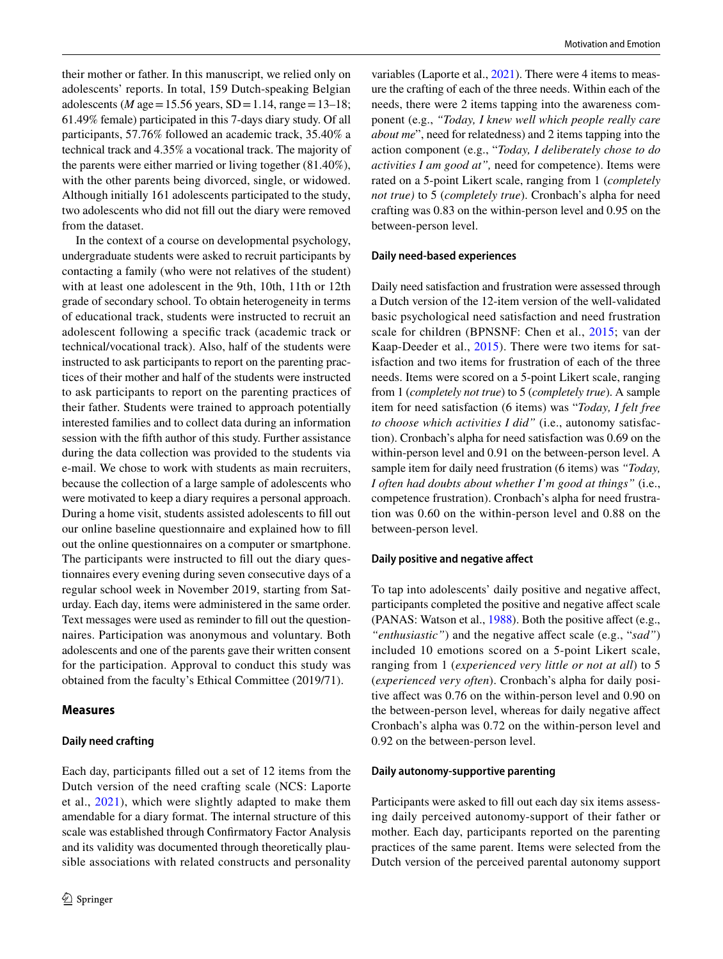their mother or father. In this manuscript, we relied only on adolescents' reports. In total, 159 Dutch-speaking Belgian adolescents (*M* age = 15.56 years, SD = 1.14, range = 13–18; 61.49% female) participated in this 7-days diary study. Of all participants, 57.76% followed an academic track, 35.40% a technical track and 4.35% a vocational track. The majority of the parents were either married or living together (81.40%), with the other parents being divorced, single, or widowed. Although initially 161 adolescents participated to the study, two adolescents who did not fll out the diary were removed from the dataset.

In the context of a course on developmental psychology, undergraduate students were asked to recruit participants by contacting a family (who were not relatives of the student) with at least one adolescent in the 9th, 10th, 11th or 12th grade of secondary school. To obtain heterogeneity in terms of educational track, students were instructed to recruit an adolescent following a specifc track (academic track or technical/vocational track). Also, half of the students were instructed to ask participants to report on the parenting practices of their mother and half of the students were instructed to ask participants to report on the parenting practices of their father. Students were trained to approach potentially interested families and to collect data during an information session with the ffth author of this study. Further assistance during the data collection was provided to the students via e-mail. We chose to work with students as main recruiters, because the collection of a large sample of adolescents who were motivated to keep a diary requires a personal approach. During a home visit, students assisted adolescents to fll out our online baseline questionnaire and explained how to fll out the online questionnaires on a computer or smartphone. The participants were instructed to fll out the diary questionnaires every evening during seven consecutive days of a regular school week in November 2019, starting from Saturday. Each day, items were administered in the same order. Text messages were used as reminder to fll out the questionnaires. Participation was anonymous and voluntary. Both adolescents and one of the parents gave their written consent for the participation. Approval to conduct this study was obtained from the faculty's Ethical Committee (2019/71).

#### **Measures**

#### **Daily need crafting**

Each day, participants flled out a set of 12 items from the Dutch version of the need crafting scale (NCS: Laporte et al., [2021](#page-10-5)), which were slightly adapted to make them amendable for a diary format. The internal structure of this scale was established through Confrmatory Factor Analysis and its validity was documented through theoretically plausible associations with related constructs and personality

variables (Laporte et al., [2021\)](#page-10-5). There were 4 items to measure the crafting of each of the three needs. Within each of the needs, there were 2 items tapping into the awareness component (e.g., *"Today, I knew well which people really care about me*", need for relatedness) and 2 items tapping into the action component (e.g., "*Today, I deliberately chose to do activities I am good at",* need for competence). Items were rated on a 5-point Likert scale, ranging from 1 (*completely not true)* to 5 (*completely true*). Cronbach's alpha for need crafting was 0.83 on the within-person level and 0.95 on the between-person level.

#### **Daily need‑based experiences**

Daily need satisfaction and frustration were assessed through a Dutch version of the 12-item version of the well-validated basic psychological need satisfaction and need frustration scale for children (BPNSNF: Chen et al., [2015](#page-10-11); van der Kaap-Deeder et al., [2015](#page-11-23)). There were two items for satisfaction and two items for frustration of each of the three needs. Items were scored on a 5-point Likert scale, ranging from 1 (*completely not true*) to 5 (*completely true*). A sample item for need satisfaction (6 items) was "*Today, I felt free to choose which activities I did"* (i.e., autonomy satisfaction). Cronbach's alpha for need satisfaction was 0.69 on the within-person level and 0.91 on the between-person level. A sample item for daily need frustration (6 items) was *"Today, I often had doubts about whether I'm good at things"* (i.e., competence frustration). Cronbach's alpha for need frustration was 0.60 on the within-person level and 0.88 on the between-person level.

#### **Daily positive and negative afect**

To tap into adolescents' daily positive and negative afect, participants completed the positive and negative afect scale (PANAS: Watson et al., [1988](#page-12-3)). Both the positive affect (e.g., "*enthusiastic*") and the negative affect scale (e.g., "*sad*") included 10 emotions scored on a 5-point Likert scale, ranging from 1 (*experienced very little or not at all*) to 5 (*experienced very often*). Cronbach's alpha for daily positive affect was 0.76 on the within-person level and 0.90 on the between-person level, whereas for daily negative afect Cronbach's alpha was 0.72 on the within-person level and 0.92 on the between-person level.

#### **Daily autonomy‑supportive parenting**

Participants were asked to fill out each day six items assessing daily perceived autonomy-support of their father or mother. Each day, participants reported on the parenting practices of the same parent. Items were selected from the Dutch version of the perceived parental autonomy support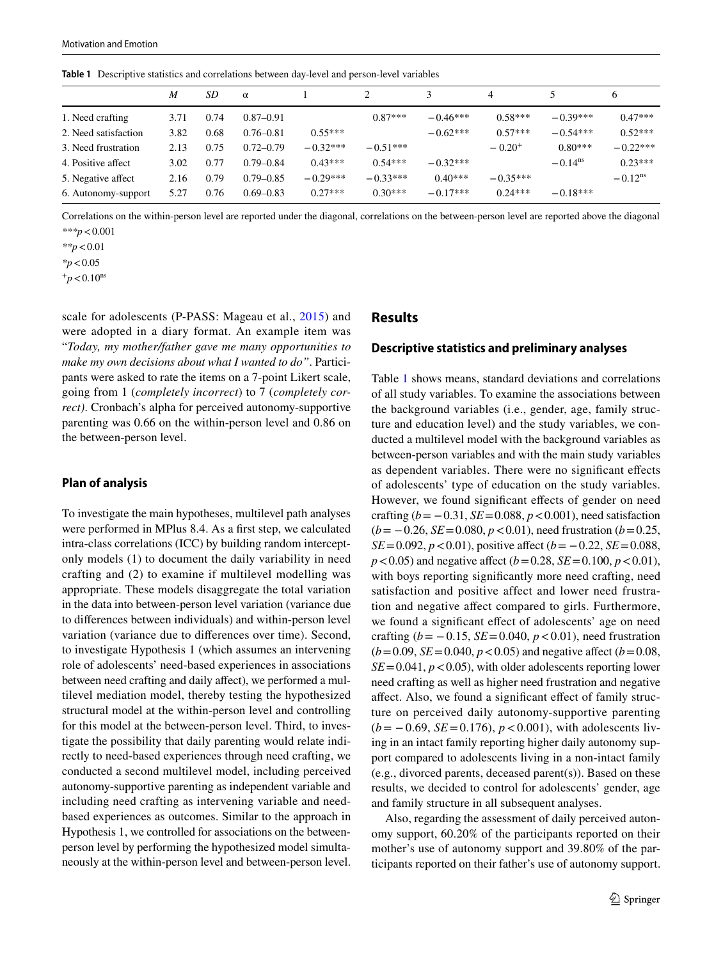<span id="page-4-0"></span>**Table 1** Descriptive statistics and correlations between day-level and person-level variables

|                      | M    | SD   | $\alpha$      |            |            |            | 4           |                       | 6                     |
|----------------------|------|------|---------------|------------|------------|------------|-------------|-----------------------|-----------------------|
| 1. Need crafting     | 3.71 | 0.74 | $0.87 - 0.91$ |            | $0.87***$  | $-0.46***$ | $0.58***$   | $-0.39***$            | $0.47***$             |
| 2. Need satisfaction | 3.82 | 0.68 | $0.76 - 0.81$ | $0.55***$  |            | $-0.62***$ | $0.57***$   | $-0.54***$            | $0.52***$             |
| 3. Need frustration  | 2.13 | 0.75 | $0.72 - 0.79$ | $-0.32***$ | $-0.51***$ |            | $-0.20^{+}$ | $0.80***$             | $-0.22***$            |
| 4. Positive affect   | 3.02 | 0.77 | $0.79 - 0.84$ | $0.43***$  | $0.54***$  | $-0.32***$ |             | $-0.14$ <sup>ns</sup> | $0.23***$             |
| 5. Negative affect   | 2.16 | 0.79 | $0.79 - 0.85$ | $-0.29***$ | $-0.33***$ | $0.40***$  | $-0.35***$  |                       | $-0.12$ <sup>ns</sup> |
| 6. Autonomy-support  | 5.27 | 0.76 | $0.69 - 0.83$ | $0.27***$  | $0.30***$  | $-0.17***$ | $0.24***$   | $-0.18***$            |                       |

Correlations on the within-person level are reported under the diagonal, correlations on the between-person level are reported above the diagonal *\*\*\*p*<0.001

*\*p*<0.05

 $+p < 0.10$ <sup>ns</sup>

scale for adolescents (P-PASS: Mageau et al., [2015\)](#page-11-24) and were adopted in a diary format. An example item was "*Today, my mother/father gave me many opportunities to make my own decisions about what I wanted to do"*. Participants were asked to rate the items on a 7-point Likert scale, going from 1 (*completely incorrect*) to 7 (*completely correct)*. Cronbach's alpha for perceived autonomy-supportive parenting was 0.66 on the within-person level and 0.86 on the between-person level.

### **Plan of analysis**

To investigate the main hypotheses, multilevel path analyses were performed in MPlus 8.4. As a frst step, we calculated intra-class correlations (ICC) by building random interceptonly models (1) to document the daily variability in need crafting and (2) to examine if multilevel modelling was appropriate. These models disaggregate the total variation in the data into between-person level variation (variance due to diferences between individuals) and within-person level variation (variance due to diferences over time). Second, to investigate Hypothesis 1 (which assumes an intervening role of adolescents' need-based experiences in associations between need crafting and daily affect), we performed a multilevel mediation model, thereby testing the hypothesized structural model at the within-person level and controlling for this model at the between-person level. Third, to investigate the possibility that daily parenting would relate indirectly to need-based experiences through need crafting, we conducted a second multilevel model, including perceived autonomy-supportive parenting as independent variable and including need crafting as intervening variable and needbased experiences as outcomes. Similar to the approach in Hypothesis 1, we controlled for associations on the betweenperson level by performing the hypothesized model simultaneously at the within-person level and between-person level.

# **Results**

### **Descriptive statistics and preliminary analyses**

Table [1](#page-4-0) shows means, standard deviations and correlations of all study variables. To examine the associations between the background variables (i.e., gender, age, family structure and education level) and the study variables, we conducted a multilevel model with the background variables as between-person variables and with the main study variables as dependent variables. There were no signifcant efects of adolescents' type of education on the study variables. However, we found significant effects of gender on need crafting (*b*= −0.31, *SE*=0.088, *p*<0.001), need satisfaction (*b*= −0.26, *SE*=0.080, *p*<0.01), need frustration (*b*=0.25, *SE*=0.092, *p* < 0.01), positive affect (*b* = −0.22, *SE* = 0.088, *p* < 0.05) and negative affect (*b* = 0.28, *SE* = 0.100, *p* < 0.01), with boys reporting signifcantly more need crafting, need satisfaction and positive affect and lower need frustration and negative afect compared to girls. Furthermore, we found a significant effect of adolescents' age on need crafting  $(b = -0.15, SE = 0.040, p < 0.01)$ , need frustration  $(b=0.09, SE=0.040, p<0.05)$  and negative affect  $(b=0.08,$  $SE = 0.041$ ,  $p < 0.05$ ), with older adolescents reporting lower need crafting as well as higher need frustration and negative afect. Also, we found a signifcant efect of family structure on perceived daily autonomy-supportive parenting (*b*= −0.69, *SE*=0.176), *p*<0.001), with adolescents living in an intact family reporting higher daily autonomy support compared to adolescents living in a non-intact family (e.g., divorced parents, deceased parent(s)). Based on these results, we decided to control for adolescents' gender, age and family structure in all subsequent analyses.

Also, regarding the assessment of daily perceived autonomy support, 60.20% of the participants reported on their mother's use of autonomy support and 39.80% of the participants reported on their father's use of autonomy support.

*<sup>\*\*</sup>p*<0.01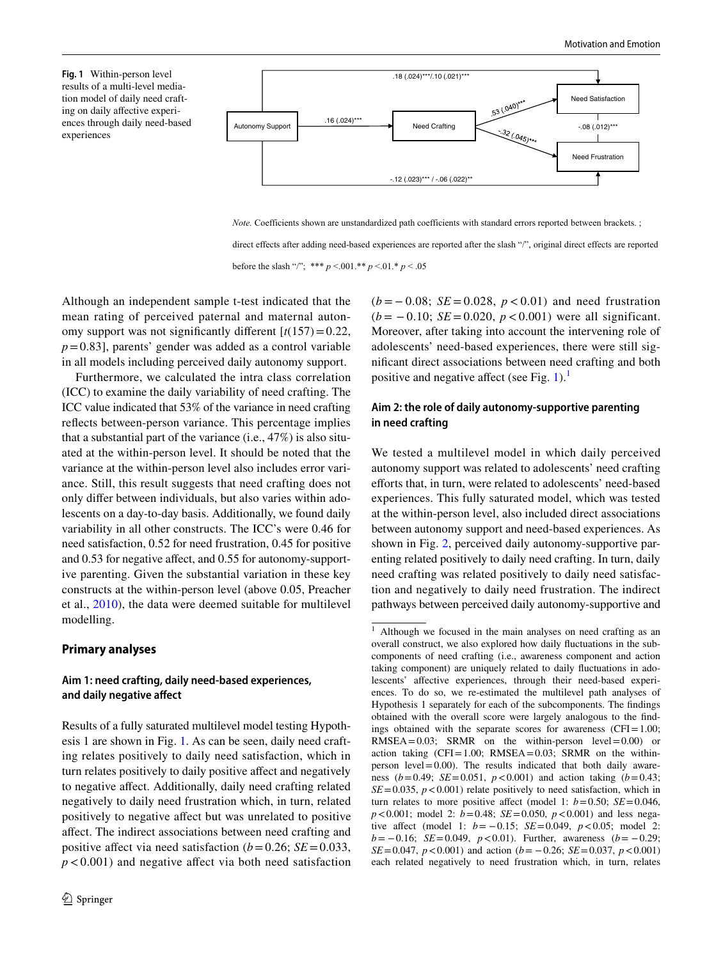<span id="page-5-0"></span>**Fig. 1** Within-person level results of a multi-level mediation model of daily need crafting on daily afective experiences through daily need-based experiences



*Note.* Coefficients shown are unstandardized path coefficients with standard errors reported between brackets. ;

direct effects after adding need-based experiences are reported after the slash "/", original direct effects are reported

before the slash "/"; \*\*\* *p* <.001.\*\* *p* <.01.\* *p* < .05

Although an independent sample t-test indicated that the mean rating of perceived paternal and maternal autonomy support was not significantly different  $[t(157)=0.22]$ ,  $p=0.83$ ], parents' gender was added as a control variable in all models including perceived daily autonomy support.

Furthermore, we calculated the intra class correlation (ICC) to examine the daily variability of need crafting. The ICC value indicated that 53% of the variance in need crafting refects between-person variance. This percentage implies that a substantial part of the variance (i.e., 47%) is also situated at the within-person level. It should be noted that the variance at the within-person level also includes error variance. Still, this result suggests that need crafting does not only difer between individuals, but also varies within adolescents on a day-to-day basis. Additionally, we found daily variability in all other constructs. The ICC's were 0.46 for need satisfaction, 0.52 for need frustration, 0.45 for positive and 0.53 for negative afect, and 0.55 for autonomy-supportive parenting. Given the substantial variation in these key constructs at the within-person level (above 0.05, Preacher et al., [2010](#page-11-25)), the data were deemed suitable for multilevel modelling.

#### **Primary analyses**

## **Aim 1: need crafting, daily need‑based experiences, and daily negative afect**

Results of a fully saturated multilevel model testing Hypothesis 1 are shown in Fig. [1](#page-5-0). As can be seen, daily need crafting relates positively to daily need satisfaction, which in turn relates positively to daily positive afect and negatively to negative afect. Additionally, daily need crafting related negatively to daily need frustration which, in turn, related positively to negative afect but was unrelated to positive afect. The indirect associations between need crafting and positive affect via need satisfaction  $(b=0.26; SE=0.033)$ ,  $p < 0.001$ ) and negative affect via both need satisfaction (*b* = − 0.08; *SE* = 0.028, *p* < 0.01) and need frustration (*b* = − 0.10; *SE* = 0.020, *p* < 0.001) were all significant. Moreover, after taking into account the intervening role of adolescents' need-based experiences, there were still signifcant direct associations between need crafting and both positive and negative affect (see Fig.  $1$ ).<sup>1</sup>

## **Aim 2: the role of daily autonomy‑supportive parenting in need crafting**

We tested a multilevel model in which daily perceived autonomy support was related to adolescents' need crafting efforts that, in turn, were related to adolescents' need-based experiences. This fully saturated model, which was tested at the within-person level, also included direct associations between autonomy support and need-based experiences. As shown in Fig. [2](#page-6-0), perceived daily autonomy-supportive parenting related positively to daily need crafting. In turn, daily need crafting was related positively to daily need satisfaction and negatively to daily need frustration. The indirect pathways between perceived daily autonomy-supportive and

<span id="page-5-1"></span><sup>1</sup> Although we focused in the main analyses on need crafting as an overall construct, we also explored how daily fuctuations in the subcomponents of need crafting (i.e., awareness component and action taking component) are uniquely related to daily fuctuations in adolescents' affective experiences, through their need-based experiences. To do so, we re-estimated the multilevel path analyses of Hypothesis 1 separately for each of the subcomponents. The fndings obtained with the overall score were largely analogous to the fndings obtained with the separate scores for awareness ( $CFI = 1.00$ ;  $RMSEA = 0.03$ ;  $SRMR$  on the within-person level = 0.00) or action taking  $(CFI = 1.00; RMSEA = 0.03; SRMR$  on the withinperson level  $=0.00$ ). The results indicated that both daily awareness (*b*=0.49; *SE*=0.051, *p*<0.001) and action taking (*b*=0.43;  $SE = 0.035$ ,  $p < 0.001$ ) relate positively to need satisfaction, which in turn relates to more positive affect (model 1:  $b = 0.50$ ; *SE* = 0.046, *p*<0.001; model 2: *b*=0.48; *SE*=0.050, *p*<0.001) and less negative affect (model 1: *b* = −0.15; *SE* = 0.049, *p* < 0.05; model 2: *b*= −0.16; *SE*=0.049, *p*<0.01). Further, awareness (*b*= −0.29; *SE*=0.047,  $p < 0.001$ ) and action ( $b = -0.26$ ; *SE*=0.037,  $p < 0.001$ ) each related negatively to need frustration which, in turn, relates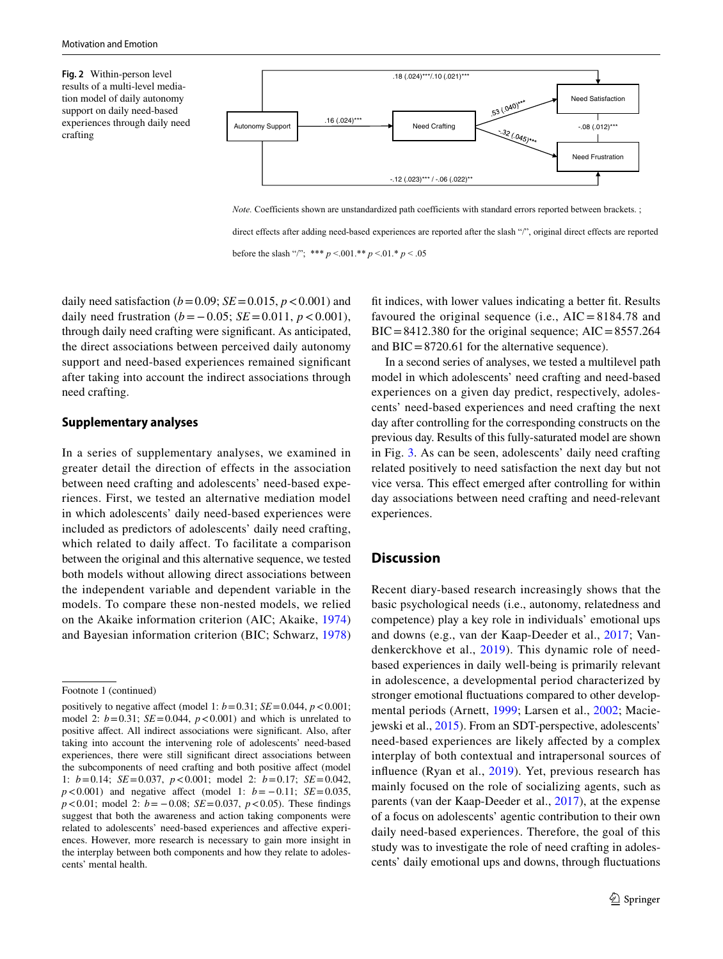<span id="page-6-0"></span>**Fig. 2** Within-person level results of a multi-level mediation model of daily autonomy support on daily need-based experiences through daily need crafting



*Note.* Coefficients shown are unstandardized path coefficients with standard errors reported between brackets. ;

direct effects after adding need-based experiences are reported after the slash "/", original direct effects are reported

before the slash "/"; \*\*\*  $p < 001$ .\*\*  $p < 01.*$  *p* < .05

daily need satisfaction ( $b = 0.09$ ; *SE* = 0.015,  $p < 0.001$ ) and daily need frustration ( $b = 0.05$ ; *SE*=0.011,  $p < 0.001$ ), through daily need crafting were signifcant. As anticipated, the direct associations between perceived daily autonomy support and need-based experiences remained signifcant after taking into account the indirect associations through need crafting.

## **Supplementary analyses**

In a series of supplementary analyses, we examined in greater detail the direction of effects in the association between need crafting and adolescents' need-based experiences. First, we tested an alternative mediation model in which adolescents' daily need-based experiences were included as predictors of adolescents' daily need crafting, which related to daily affect. To facilitate a comparison between the original and this alternative sequence, we tested both models without allowing direct associations between the independent variable and dependent variable in the models. To compare these non-nested models, we relied on the Akaike information criterion (AIC; Akaike, [1974\)](#page-10-19) and Bayesian information criterion (BIC; Schwarz, [1978\)](#page-11-26)

ft indices, with lower values indicating a better ft. Results favoured the original sequence (i.e.,  $AIC = 8184.78$  and  $BIC = 8412.380$  for the original sequence;  $AIC = 8557.264$ and  $BIC = 8720.61$  for the alternative sequence).

In a second series of analyses, we tested a multilevel path model in which adolescents' need crafting and need-based experiences on a given day predict, respectively, adolescents' need-based experiences and need crafting the next day after controlling for the corresponding constructs on the previous day. Results of this fully-saturated model are shown in Fig. [3](#page-7-0). As can be seen, adolescents' daily need crafting related positively to need satisfaction the next day but not vice versa. This efect emerged after controlling for within day associations between need crafting and need-relevant experiences.

## **Discussion**

Recent diary-based research increasingly shows that the basic psychological needs (i.e., autonomy, relatedness and competence) play a key role in individuals' emotional ups and downs (e.g., van der Kaap-Deeder et al., [2017](#page-11-4); Vandenkerckhove et al., [2019\)](#page-11-5). This dynamic role of needbased experiences in daily well-being is primarily relevant in adolescence, a developmental period characterized by stronger emotional fuctuations compared to other developmental periods (Arnett, [1999](#page-10-1); Larsen et al., [2002;](#page-10-2) Maciejewski et al., [2015\)](#page-11-0). From an SDT-perspective, adolescents' need-based experiences are likely afected by a complex interplay of both contextual and intrapersonal sources of infuence (Ryan et al., [2019\)](#page-11-27). Yet, previous research has mainly focused on the role of socializing agents, such as parents (van der Kaap-Deeder et al., [2017](#page-11-4)), at the expense of a focus on adolescents' agentic contribution to their own daily need-based experiences. Therefore, the goal of this study was to investigate the role of need crafting in adolescents' daily emotional ups and downs, through fuctuations

Footnote 1 (continued)

positively to negative affect (model 1:  $b=0.31$ ;  $SE=0.044$ ,  $p < 0.001$ ; model 2:  $b=0.31$ ;  $SE=0.044$ ,  $p < 0.001$ ) and which is unrelated to positive afect. All indirect associations were signifcant. Also, after taking into account the intervening role of adolescents' need-based experiences, there were still signifcant direct associations between the subcomponents of need crafting and both positive afect (model 1: *b*=0.14; *SE*=0.037, *p*<0.001; model 2: *b*=0.17; *SE*=0.042, *p* < 0.001) and negative affect (model 1: *b* = −0.11; *SE* = 0.035, *p* < 0.01; model 2: *b* = −0.08; *SE* = 0.037, *p* < 0.05). These findings suggest that both the awareness and action taking components were related to adolescents' need-based experiences and afective experiences. However, more research is necessary to gain more insight in the interplay between both components and how they relate to adolescents' mental health.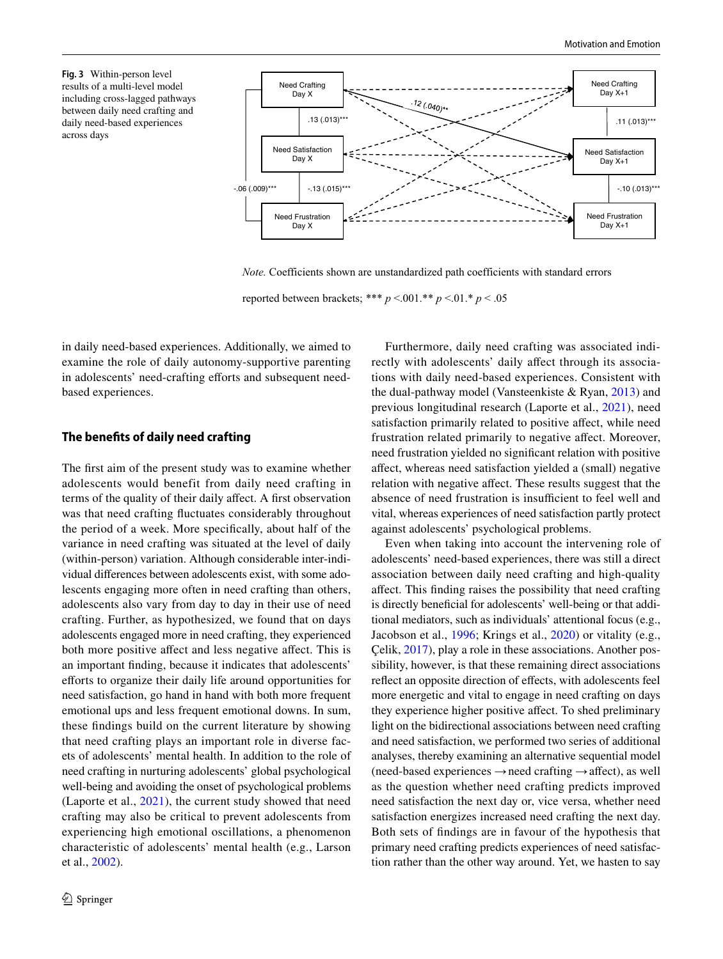<span id="page-7-0"></span>**Fig. 3** Within-person level results of a multi-level model including cross-lagged pathways between daily need crafting and daily need-based experiences across days



*Note.* Coefficients shown are unstandardized path coefficients with standard errors

reported between brackets; \*\*\* *p* <.001.\*\* *p* <.01.\* *p* < .05

in daily need-based experiences. Additionally, we aimed to examine the role of daily autonomy-supportive parenting in adolescents' need-crafting efforts and subsequent needbased experiences.

## **The benefts of daily need crafting**

The frst aim of the present study was to examine whether adolescents would benefit from daily need crafting in terms of the quality of their daily afect. A frst observation was that need crafting fuctuates considerably throughout the period of a week. More specifcally, about half of the variance in need crafting was situated at the level of daily (within-person) variation. Although considerable inter-individual diferences between adolescents exist, with some adolescents engaging more often in need crafting than others, adolescents also vary from day to day in their use of need crafting. Further, as hypothesized, we found that on days adolescents engaged more in need crafting, they experienced both more positive affect and less negative affect. This is an important fnding, because it indicates that adolescents' eforts to organize their daily life around opportunities for need satisfaction, go hand in hand with both more frequent emotional ups and less frequent emotional downs. In sum, these fndings build on the current literature by showing that need crafting plays an important role in diverse facets of adolescents' mental health. In addition to the role of need crafting in nurturing adolescents' global psychological well-being and avoiding the onset of psychological problems (Laporte et al., [2021\)](#page-10-5), the current study showed that need crafting may also be critical to prevent adolescents from experiencing high emotional oscillations, a phenomenon characteristic of adolescents' mental health (e.g., Larson et al., [2002\)](#page-10-2).

Furthermore, daily need crafting was associated indirectly with adolescents' daily affect through its associations with daily need-based experiences. Consistent with the dual-pathway model (Vansteenkiste & Ryan, [2013\)](#page-11-7) and previous longitudinal research (Laporte et al., [2021](#page-10-5)), need satisfaction primarily related to positive afect, while need frustration related primarily to negative afect. Moreover, need frustration yielded no signifcant relation with positive afect, whereas need satisfaction yielded a (small) negative relation with negative afect. These results suggest that the absence of need frustration is insufficient to feel well and vital, whereas experiences of need satisfaction partly protect against adolescents' psychological problems.

Even when taking into account the intervening role of adolescents' need-based experiences, there was still a direct association between daily need crafting and high-quality afect. This fnding raises the possibility that need crafting is directly benefcial for adolescents' well-being or that additional mediators, such as individuals' attentional focus (e.g., Jacobson et al., [1996;](#page-10-20) Krings et al., [2020](#page-10-21)) or vitality (e.g., Çelik, [2017\)](#page-10-22), play a role in these associations. Another possibility, however, is that these remaining direct associations refect an opposite direction of efects, with adolescents feel more energetic and vital to engage in need crafting on days they experience higher positive afect. To shed preliminary light on the bidirectional associations between need crafting and need satisfaction, we performed two series of additional analyses, thereby examining an alternative sequential model (need-based experiences  $\rightarrow$ need crafting  $\rightarrow$  affect), as well as the question whether need crafting predicts improved need satisfaction the next day or, vice versa, whether need satisfaction energizes increased need crafting the next day. Both sets of fndings are in favour of the hypothesis that primary need crafting predicts experiences of need satisfaction rather than the other way around. Yet, we hasten to say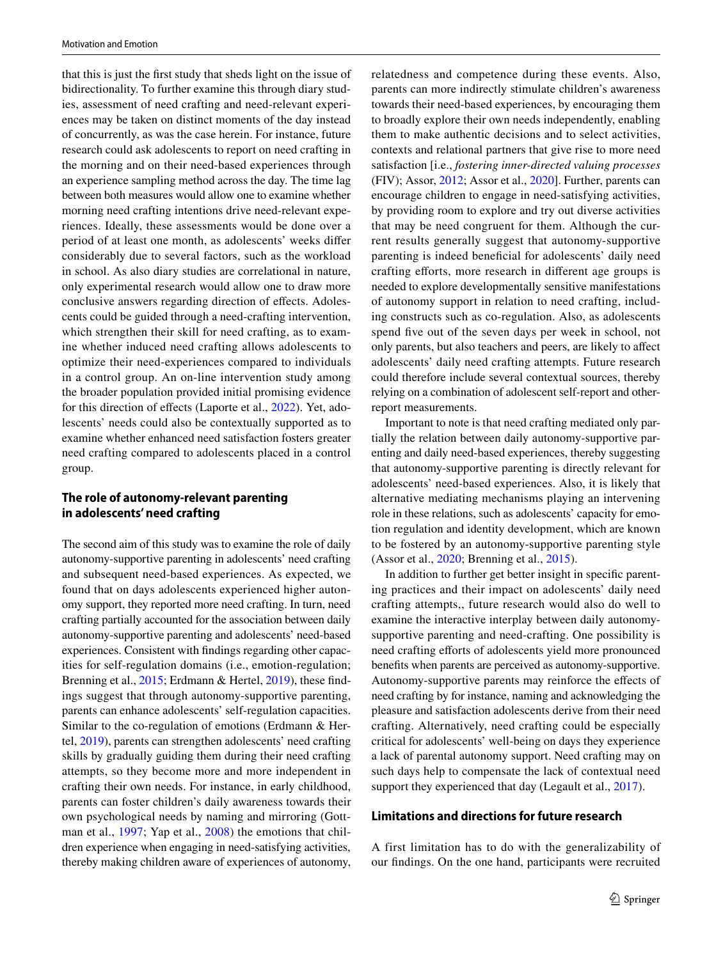that this is just the frst study that sheds light on the issue of bidirectionality. To further examine this through diary studies, assessment of need crafting and need-relevant experiences may be taken on distinct moments of the day instead of concurrently, as was the case herein. For instance, future research could ask adolescents to report on need crafting in the morning and on their need-based experiences through an experience sampling method across the day. The time lag between both measures would allow one to examine whether morning need crafting intentions drive need-relevant experiences. Ideally, these assessments would be done over a period of at least one month, as adolescents' weeks difer considerably due to several factors, such as the workload in school. As also diary studies are correlational in nature, only experimental research would allow one to draw more conclusive answers regarding direction of efects. Adolescents could be guided through a need-crafting intervention, which strengthen their skill for need crafting, as to examine whether induced need crafting allows adolescents to optimize their need-experiences compared to individuals in a control group. An on-line intervention study among the broader population provided initial promising evidence for this direction of effects (Laporte et al., [2022\)](#page-10-23). Yet, adolescents' needs could also be contextually supported as to examine whether enhanced need satisfaction fosters greater need crafting compared to adolescents placed in a control group.

## **The role of autonomy‑relevant parenting in adolescents' need crafting**

The second aim of this study was to examine the role of daily autonomy-supportive parenting in adolescents' need crafting and subsequent need-based experiences. As expected, we found that on days adolescents experienced higher autonomy support, they reported more need crafting. In turn, need crafting partially accounted for the association between daily autonomy-supportive parenting and adolescents' need-based experiences. Consistent with fndings regarding other capacities for self-regulation domains (i.e., emotion-regulation; Brenning et al., [2015;](#page-10-24) Erdmann & Hertel, [2019](#page-10-16)), these findings suggest that through autonomy-supportive parenting, parents can enhance adolescents' self-regulation capacities. Similar to the co-regulation of emotions (Erdmann & Hertel, [2019\)](#page-10-16), parents can strengthen adolescents' need crafting skills by gradually guiding them during their need crafting attempts, so they become more and more independent in crafting their own needs. For instance, in early childhood, parents can foster children's daily awareness towards their own psychological needs by naming and mirroring (Gottman et al., [1997](#page-10-25); Yap et al., [2008](#page-12-4)) the emotions that children experience when engaging in need-satisfying activities, thereby making children aware of experiences of autonomy, relatedness and competence during these events. Also, parents can more indirectly stimulate children's awareness towards their need-based experiences, by encouraging them to broadly explore their own needs independently, enabling them to make authentic decisions and to select activities, contexts and relational partners that give rise to more need satisfaction [i.e., *fostering inner-directed valuing processes* (FIV); Assor, [2012;](#page-10-26) Assor et al., [2020\]](#page-10-27). Further, parents can encourage children to engage in need-satisfying activities, by providing room to explore and try out diverse activities that may be need congruent for them. Although the current results generally suggest that autonomy-supportive parenting is indeed beneficial for adolescents' daily need crafting eforts, more research in diferent age groups is needed to explore developmentally sensitive manifestations of autonomy support in relation to need crafting, including constructs such as co-regulation. Also, as adolescents spend five out of the seven days per week in school, not only parents, but also teachers and peers, are likely to afect adolescents' daily need crafting attempts. Future research could therefore include several contextual sources, thereby relying on a combination of adolescent self-report and otherreport measurements.

Important to note is that need crafting mediated only partially the relation between daily autonomy-supportive parenting and daily need-based experiences, thereby suggesting that autonomy-supportive parenting is directly relevant for adolescents' need-based experiences. Also, it is likely that alternative mediating mechanisms playing an intervening role in these relations, such as adolescents' capacity for emotion regulation and identity development, which are known to be fostered by an autonomy-supportive parenting style (Assor et al., [2020](#page-10-27); Brenning et al., [2015](#page-10-24)).

In addition to further get better insight in specifc parenting practices and their impact on adolescents' daily need crafting attempts,, future research would also do well to examine the interactive interplay between daily autonomysupportive parenting and need-crafting. One possibility is need crafting efforts of adolescents yield more pronounced benefts when parents are perceived as autonomy-supportive. Autonomy-supportive parents may reinforce the efects of need crafting by for instance, naming and acknowledging the pleasure and satisfaction adolescents derive from their need crafting. Alternatively, need crafting could be especially critical for adolescents' well-being on days they experience a lack of parental autonomy support. Need crafting may on such days help to compensate the lack of contextual need support they experienced that day (Legault et al., [2017\)](#page-10-14).

## **Limitations and directions for future research**

A first limitation has to do with the generalizability of our fndings. On the one hand, participants were recruited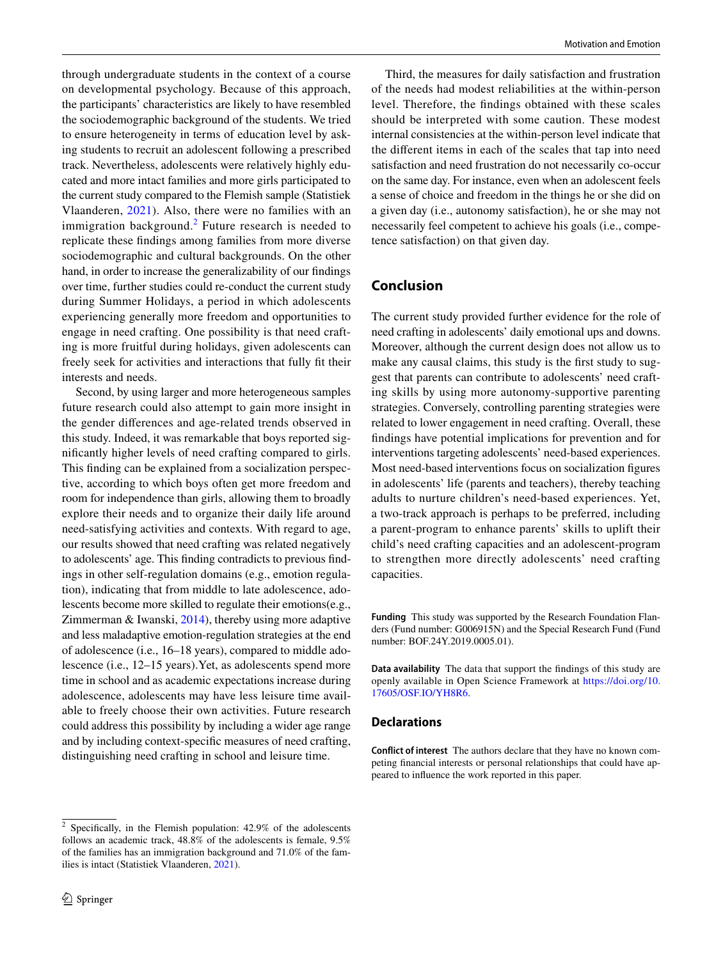through undergraduate students in the context of a course on developmental psychology. Because of this approach, the participants' characteristics are likely to have resembled the sociodemographic background of the students. We tried to ensure heterogeneity in terms of education level by asking students to recruit an adolescent following a prescribed track. Nevertheless, adolescents were relatively highly educated and more intact families and more girls participated to the current study compared to the Flemish sample (Statistiek Vlaanderen, [2021](#page-11-28)). Also, there were no families with an immigration background. $2$  Future research is needed to replicate these fndings among families from more diverse sociodemographic and cultural backgrounds. On the other hand, in order to increase the generalizability of our fndings over time, further studies could re-conduct the current study during Summer Holidays, a period in which adolescents experiencing generally more freedom and opportunities to engage in need crafting. One possibility is that need crafting is more fruitful during holidays, given adolescents can freely seek for activities and interactions that fully ft their interests and needs.

Second, by using larger and more heterogeneous samples future research could also attempt to gain more insight in the gender diferences and age-related trends observed in this study. Indeed, it was remarkable that boys reported signifcantly higher levels of need crafting compared to girls. This fnding can be explained from a socialization perspective, according to which boys often get more freedom and room for independence than girls, allowing them to broadly explore their needs and to organize their daily life around need-satisfying activities and contexts. With regard to age, our results showed that need crafting was related negatively to adolescents' age. This fnding contradicts to previous fndings in other self-regulation domains (e.g., emotion regulation), indicating that from middle to late adolescence, adolescents become more skilled to regulate their emotions(e.g., Zimmerman & Iwanski, [2014\)](#page-12-5), thereby using more adaptive and less maladaptive emotion-regulation strategies at the end of adolescence (i.e., 16–18 years), compared to middle adolescence (i.e., 12–15 years).Yet, as adolescents spend more time in school and as academic expectations increase during adolescence, adolescents may have less leisure time available to freely choose their own activities. Future research could address this possibility by including a wider age range and by including context-specifc measures of need crafting, distinguishing need crafting in school and leisure time.

<span id="page-9-0"></span><sup>2</sup> Specifcally, in the Flemish population: 42.9% of the adolescents follows an academic track, 48.8% of the adolescents is female, 9.5% of the families has an immigration background and 71.0% of the families is intact (Statistiek Vlaanderen, [2021](#page-11-28)).

Third, the measures for daily satisfaction and frustration of the needs had modest reliabilities at the within-person level. Therefore, the fndings obtained with these scales should be interpreted with some caution. These modest internal consistencies at the within-person level indicate that the diferent items in each of the scales that tap into need satisfaction and need frustration do not necessarily co-occur on the same day. For instance, even when an adolescent feels a sense of choice and freedom in the things he or she did on a given day (i.e., autonomy satisfaction), he or she may not necessarily feel competent to achieve his goals (i.e., competence satisfaction) on that given day.

# **Conclusion**

The current study provided further evidence for the role of need crafting in adolescents' daily emotional ups and downs. Moreover, although the current design does not allow us to make any causal claims, this study is the frst study to suggest that parents can contribute to adolescents' need crafting skills by using more autonomy-supportive parenting strategies. Conversely, controlling parenting strategies were related to lower engagement in need crafting. Overall, these fndings have potential implications for prevention and for interventions targeting adolescents' need-based experiences. Most need-based interventions focus on socialization fgures in adolescents' life (parents and teachers), thereby teaching adults to nurture children's need-based experiences. Yet, a two-track approach is perhaps to be preferred, including a parent-program to enhance parents' skills to uplift their child's need crafting capacities and an adolescent-program to strengthen more directly adolescents' need crafting capacities.

**Funding** This study was supported by the Research Foundation Flanders (Fund number: G006915N) and the Special Research Fund (Fund number: BOF.24Y.2019.0005.01).

**Data availability** The data that support the fndings of this study are openly available in Open Science Framework at [https://doi.org/10.](https://doi.org/10.17605/OSF.IO/YH8R6) [17605/OSF.IO/YH8R6.](https://doi.org/10.17605/OSF.IO/YH8R6)

#### **Declarations**

**Conflict of interest** The authors declare that they have no known competing fnancial interests or personal relationships that could have appeared to infuence the work reported in this paper.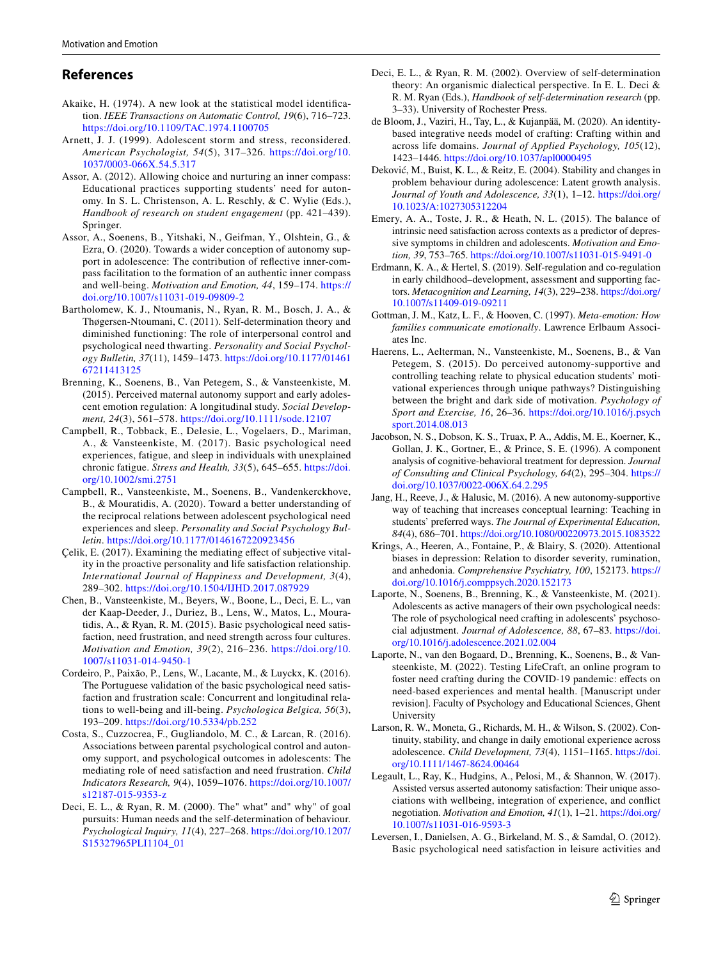## **References**

- <span id="page-10-19"></span>Akaike, H. (1974). A new look at the statistical model identifcation. *IEEE Transactions on Automatic Control, 19*(6), 716–723. <https://doi.org/10.1109/TAC.1974.1100705>
- <span id="page-10-1"></span>Arnett, J. J. (1999). Adolescent storm and stress, reconsidered. *American Psychologist, 54*(5), 317–326. [https://doi.org/10.](https://doi.org/10.1037/0003-066X.54.5.317) [1037/0003-066X.54.5.317](https://doi.org/10.1037/0003-066X.54.5.317)
- <span id="page-10-26"></span>Assor, A. (2012). Allowing choice and nurturing an inner compass: Educational practices supporting students' need for autonomy. In S. L. Christenson, A. L. Reschly, & C. Wylie (Eds.), *Handbook of research on student engagement* (pp. 421–439). Springer.
- <span id="page-10-27"></span>Assor, A., Soenens, B., Yitshaki, N., Geifman, Y., Olshtein, G., & Ezra, O. (2020). Towards a wider conception of autonomy support in adolescence: The contribution of refective inner-compass facilitation to the formation of an authentic inner compass and well-being. *Motivation and Emotion, 44*, 159–174. [https://](https://doi.org/10.1007/s11031-019-09809-2) [doi.org/10.1007/s11031-019-09809-2](https://doi.org/10.1007/s11031-019-09809-2)
- <span id="page-10-10"></span>Bartholomew, K. J., Ntoumanis, N., Ryan, R. M., Bosch, J. A., & Thøgersen-Ntoumani, C. (2011). Self-determination theory and diminished functioning: The role of interpersonal control and psychological need thwarting. *Personality and Social Psychology Bulletin, 37*(11), 1459–1473. [https://doi.org/10.1177/01461](https://doi.org/10.1177/0146167211413125) [67211413125](https://doi.org/10.1177/0146167211413125)
- <span id="page-10-24"></span>Brenning, K., Soenens, B., Van Petegem, S., & Vansteenkiste, M. (2015). Perceived maternal autonomy support and early adolescent emotion regulation: A longitudinal study. *Social Development, 24*(3), 561–578. <https://doi.org/10.1111/sode.12107>
- <span id="page-10-9"></span>Campbell, R., Tobback, E., Delesie, L., Vogelaers, D., Mariman, A., & Vansteenkiste, M. (2017). Basic psychological need experiences, fatigue, and sleep in individuals with unexplained chronic fatigue. *Stress and Health, 33*(5), 645–655. [https://doi.](https://doi.org/10.1002/smi.2751) [org/10.1002/smi.2751](https://doi.org/10.1002/smi.2751)
- <span id="page-10-12"></span>Campbell, R., Vansteenkiste, M., Soenens, B., Vandenkerckhove, B., & Mouratidis, A. (2020). Toward a better understanding of the reciprocal relations between adolescent psychological need experiences and sleep. *Personality and Social Psychology Bulletin*.<https://doi.org/10.1177/0146167220923456>
- <span id="page-10-22"></span>Çelik, E. (2017). Examining the mediating efect of subjective vitality in the proactive personality and life satisfaction relationship. *International Journal of Happiness and Development, 3*(4), 289–302.<https://doi.org/10.1504/IJHD.2017.087929>
- <span id="page-10-11"></span>Chen, B., Vansteenkiste, M., Beyers, W., Boone, L., Deci, E. L., van der Kaap-Deeder, J., Duriez, B., Lens, W., Matos, L., Mouratidis, A., & Ryan, R. M. (2015). Basic psychological need satisfaction, need frustration, and need strength across four cultures. *Motivation and Emotion, 39*(2), 216–236. [https://doi.org/10.](https://doi.org/10.1007/s11031-014-9450-1) [1007/s11031-014-9450-1](https://doi.org/10.1007/s11031-014-9450-1)
- <span id="page-10-6"></span>Cordeiro, P., Paixão, P., Lens, W., Lacante, M., & Luyckx, K. (2016). The Portuguese validation of the basic psychological need satisfaction and frustration scale: Concurrent and longitudinal relations to well-being and ill-being. *Psychologica Belgica, 56*(3), 193–209.<https://doi.org/10.5334/pb.252>
- <span id="page-10-17"></span>Costa, S., Cuzzocrea, F., Gugliandolo, M. C., & Larcan, R. (2016). Associations between parental psychological control and autonomy support, and psychological outcomes in adolescents: The mediating role of need satisfaction and need frustration. *Child Indicators Research, 9*(4), 1059–1076. [https://doi.org/10.1007/](https://doi.org/10.1007/s12187-015-9353-z) [s12187-015-9353-z](https://doi.org/10.1007/s12187-015-9353-z)
- <span id="page-10-3"></span>Deci, E. L., & Ryan, R. M. (2000). The" what" and" why" of goal pursuits: Human needs and the self-determination of behaviour. *Psychological Inquiry, 11*(4), 227–268. [https://doi.org/10.1207/](https://doi.org/10.1207/S15327965PLI1104_01) [S15327965PLI1104\\_01](https://doi.org/10.1207/S15327965PLI1104_01)
- <span id="page-10-4"></span>Deci, E. L., & Ryan, R. M. (2002). Overview of self-determination theory: An organismic dialectical perspective. In E. L. Deci & R. M. Ryan (Eds.), *Handbook of self-determination research* (pp. 3–33). University of Rochester Press.
- <span id="page-10-15"></span>de Bloom, J., Vaziri, H., Tay, L., & Kujanpää, M. (2020). An identitybased integrative needs model of crafting: Crafting within and across life domains. *Journal of Applied Psychology, 105*(12), 1423–1446.<https://doi.org/10.1037/apl0000495>
- <span id="page-10-0"></span>Deković, M., Buist, K. L., & Reitz, E. (2004). Stability and changes in problem behaviour during adolescence: Latent growth analysis. *Journal of Youth and Adolescence, 33*(1), 1–12. [https://doi.org/](https://doi.org/10.1023/A:1027305312204) [10.1023/A:1027305312204](https://doi.org/10.1023/A:1027305312204)
- <span id="page-10-8"></span>Emery, A. A., Toste, J. R., & Heath, N. L. (2015). The balance of intrinsic need satisfaction across contexts as a predictor of depressive symptoms in children and adolescents. *Motivation and Emotion, 39*, 753–765. <https://doi.org/10.1007/s11031-015-9491-0>
- <span id="page-10-16"></span>Erdmann, K. A., & Hertel, S. (2019). Self-regulation and co-regulation in early childhood–development, assessment and supporting factors. *Metacognition and Learning, 14*(3), 229–238. [https://doi.org/](https://doi.org/10.1007/s11409-019-09211) [10.1007/s11409-019-09211](https://doi.org/10.1007/s11409-019-09211)
- <span id="page-10-25"></span>Gottman, J. M., Katz, L. F., & Hooven, C. (1997). *Meta-emotion: How families communicate emotionally*. Lawrence Erlbaum Associates Inc.
- <span id="page-10-18"></span>Haerens, L., Aelterman, N., Vansteenkiste, M., Soenens, B., & Van Petegem, S. (2015). Do perceived autonomy-supportive and controlling teaching relate to physical education students' motivational experiences through unique pathways? Distinguishing between the bright and dark side of motivation. *Psychology of Sport and Exercise, 16*, 26–36. [https://doi.org/10.1016/j.psych](https://doi.org/10.1016/j.psychsport.2014.08.013) [sport.2014.08.013](https://doi.org/10.1016/j.psychsport.2014.08.013)
- <span id="page-10-20"></span>Jacobson, N. S., Dobson, K. S., Truax, P. A., Addis, M. E., Koerner, K., Gollan, J. K., Gortner, E., & Prince, S. E. (1996). A component analysis of cognitive-behavioral treatment for depression. *Journal of Consulting and Clinical Psychology, 64*(2), 295–304. [https://](https://doi.org/10.1037/0022-006X.64.2.295) [doi.org/10.1037/0022-006X.64.2.295](https://doi.org/10.1037/0022-006X.64.2.295)
- <span id="page-10-13"></span>Jang, H., Reeve, J., & Halusic, M. (2016). A new autonomy-supportive way of teaching that increases conceptual learning: Teaching in students' preferred ways. *The Journal of Experimental Education, 84*(4), 686–701.<https://doi.org/10.1080/00220973.2015.1083522>
- <span id="page-10-21"></span>Krings, A., Heeren, A., Fontaine, P., & Blairy, S. (2020). Attentional biases in depression: Relation to disorder severity, rumination, and anhedonia. *Comprehensive Psychiatry, 100*, 152173. [https://](https://doi.org/10.1016/j.comppsych.2020.152173) [doi.org/10.1016/j.comppsych.2020.152173](https://doi.org/10.1016/j.comppsych.2020.152173)
- <span id="page-10-5"></span>Laporte, N., Soenens, B., Brenning, K., & Vansteenkiste, M. (2021). Adolescents as active managers of their own psychological needs: The role of psychological need crafting in adolescents' psychosocial adjustment. *Journal of Adolescence, 88*, 67–83. [https://doi.](https://doi.org/10.1016/j.adolescence.2021.02.004) [org/10.1016/j.adolescence.2021.02.004](https://doi.org/10.1016/j.adolescence.2021.02.004)
- <span id="page-10-23"></span>Laporte, N., van den Bogaard, D., Brenning, K., Soenens, B., & Vansteenkiste, M. (2022). Testing LifeCraft, an online program to foster need crafting during the COVID-19 pandemic: efects on need-based experiences and mental health. [Manuscript under revision]. Faculty of Psychology and Educational Sciences, Ghent University
- <span id="page-10-2"></span>Larson, R. W., Moneta, G., Richards, M. H., & Wilson, S. (2002). Continuity, stability, and change in daily emotional experience across adolescence. *Child Development, 73*(4), 1151–1165. [https://doi.](https://doi.org/10.1111/1467-8624.00464) [org/10.1111/1467-8624.00464](https://doi.org/10.1111/1467-8624.00464)
- <span id="page-10-14"></span>Legault, L., Ray, K., Hudgins, A., Pelosi, M., & Shannon, W. (2017). Assisted versus asserted autonomy satisfaction: Their unique associations with wellbeing, integration of experience, and confict negotiation. *Motivation and Emotion, 41*(1), 1–21. [https://doi.org/](https://doi.org/10.1007/s11031-016-9593-3) [10.1007/s11031-016-9593-3](https://doi.org/10.1007/s11031-016-9593-3)
- <span id="page-10-7"></span>Leversen, I., Danielsen, A. G., Birkeland, M. S., & Samdal, O. (2012). Basic psychological need satisfaction in leisure activities and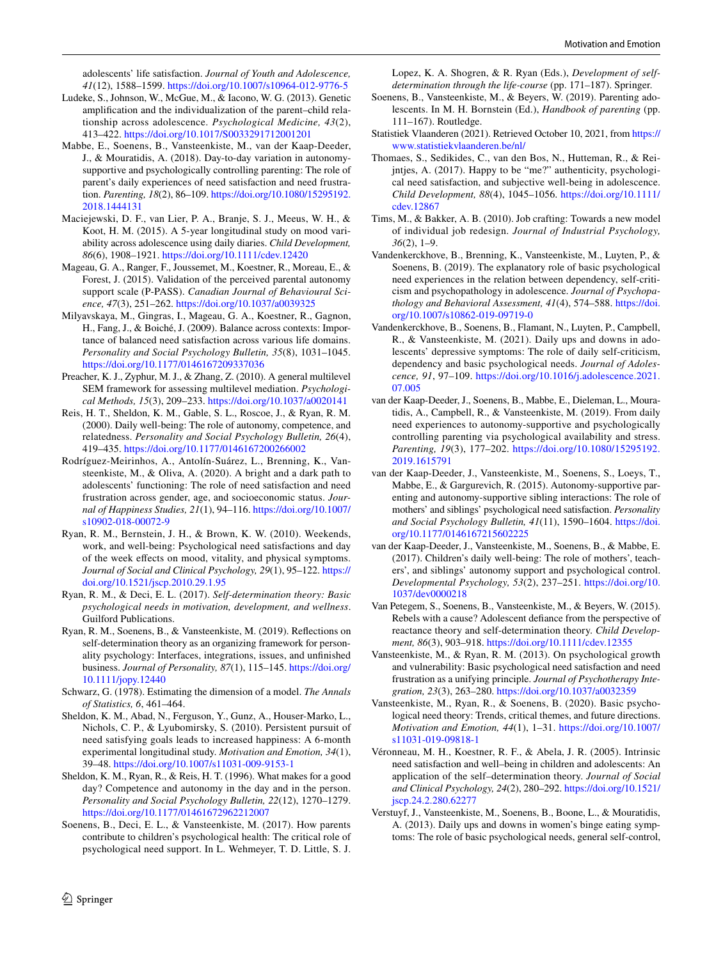adolescents' life satisfaction. *Journal of Youth and Adolescence, 41*(12), 1588–1599.<https://doi.org/10.1007/s10964-012-9776-5>

- <span id="page-11-21"></span>Ludeke, S., Johnson, W., McGue, M., & Iacono, W. G. (2013). Genetic amplifcation and the individualization of the parent–child relationship across adolescence. *Psychological Medicine, 43*(2), 413–422.<https://doi.org/10.1017/S0033291712001201>
- <span id="page-11-12"></span>Mabbe, E., Soenens, B., Vansteenkiste, M., van der Kaap-Deeder, J., & Mouratidis, A. (2018). Day-to-day variation in autonomysupportive and psychologically controlling parenting: The role of parent's daily experiences of need satisfaction and need frustration. *Parenting, 18*(2), 86–109. [https://doi.org/10.1080/15295192.](https://doi.org/10.1080/15295192.2018.1444131) [2018.1444131](https://doi.org/10.1080/15295192.2018.1444131)
- <span id="page-11-0"></span>Maciejewski, D. F., van Lier, P. A., Branje, S. J., Meeus, W. H., & Koot, H. M. (2015). A 5-year longitudinal study on mood variability across adolescence using daily diaries. *Child Development, 86*(6), 1908–1921. <https://doi.org/10.1111/cdev.12420>
- <span id="page-11-24"></span>Mageau, G. A., Ranger, F., Joussemet, M., Koestner, R., Moreau, E., & Forest, J. (2015). Validation of the perceived parental autonomy support scale (P-PASS). *Canadian Journal of Behavioural Science, 47*(3), 251–262.<https://doi.org/10.1037/a0039325>
- <span id="page-11-11"></span>Milyavskaya, M., Gingras, I., Mageau, G. A., Koestner, R., Gagnon, H., Fang, J., & Boiché, J. (2009). Balance across contexts: Importance of balanced need satisfaction across various life domains. *Personality and Social Psychology Bulletin, 35*(8), 1031–1045. <https://doi.org/10.1177/0146167209337036>
- <span id="page-11-25"></span>Preacher, K. J., Zyphur, M. J., & Zhang, Z. (2010). A general multilevel SEM framework for assessing multilevel mediation. *Psychological Methods, 15*(3), 209–233.<https://doi.org/10.1037/a0020141>
- <span id="page-11-13"></span>Reis, H. T., Sheldon, K. M., Gable, S. L., Roscoe, J., & Ryan, R. M. (2000). Daily well-being: The role of autonomy, competence, and relatedness. *Personality and Social Psychology Bulletin, 26*(4), 419–435.<https://doi.org/10.1177/0146167200266002>
- <span id="page-11-8"></span>Rodríguez-Meirinhos, A., Antolín-Suárez, L., Brenning, K., Vansteenkiste, M., & Oliva, A. (2020). A bright and a dark path to adolescents' functioning: The role of need satisfaction and need frustration across gender, age, and socioeconomic status. *Journal of Happiness Studies, 21*(1), 94–116. [https://doi.org/10.1007/](https://doi.org/10.1007/s10902-018-00072-9) [s10902-018-00072-9](https://doi.org/10.1007/s10902-018-00072-9)
- <span id="page-11-14"></span>Ryan, R. M., Bernstein, J. H., & Brown, K. W. (2010). Weekends, work, and well-being: Psychological need satisfactions and day of the week efects on mood, vitality, and physical symptoms. *Journal of Social and Clinical Psychology, 29*(1), 95–122. [https://](https://doi.org/10.1521/jscp.2010.29.1.95) [doi.org/10.1521/jscp.2010.29.1.95](https://doi.org/10.1521/jscp.2010.29.1.95)
- <span id="page-11-1"></span>Ryan, R. M., & Deci, E. L. (2017). *Self-determination theory: Basic psychological needs in motivation, development, and wellness*. Guilford Publications.
- <span id="page-11-27"></span>Ryan, R. M., Soenens, B., & Vansteenkiste, M. (2019). Refections on self-determination theory as an organizing framework for personality psychology: Interfaces, integrations, issues, and unfnished business. *Journal of Personality, 87*(1), 115–145. [https://doi.org/](https://doi.org/10.1111/jopy.12440) [10.1111/jopy.12440](https://doi.org/10.1111/jopy.12440)
- <span id="page-11-26"></span>Schwarz, G. (1978). Estimating the dimension of a model. *The Annals of Statistics, 6*, 461–464.
- <span id="page-11-19"></span>Sheldon, K. M., Abad, N., Ferguson, Y., Gunz, A., Houser-Marko, L., Nichols, C. P., & Lyubomirsky, S. (2010). Persistent pursuit of need satisfying goals leads to increased happiness: A 6-month experimental longitudinal study. *Motivation and Emotion, 34*(1), 39–48. <https://doi.org/10.1007/s11031-009-9153-1>
- <span id="page-11-15"></span>Sheldon, K. M., Ryan, R., & Reis, H. T. (1996). What makes for a good day? Competence and autonomy in the day and in the person. *Personality and Social Psychology Bulletin, 22*(12), 1270–1279. <https://doi.org/10.1177/01461672962212007>
- <span id="page-11-6"></span>Soenens, B., Deci, E. L., & Vansteenkiste, M. (2017). How parents contribute to children's psychological health: The critical role of psychological need support. In L. Wehmeyer, T. D. Little, S. J.

Lopez, K. A. Shogren, & R. Ryan (Eds.), *Development of selfdetermination through the life-course* (pp. 171–187). Springer.

- <span id="page-11-22"></span>Soenens, B., Vansteenkiste, M., & Beyers, W. (2019). Parenting adolescents. In M. H. Bornstein (Ed.), *Handbook of parenting* (pp. 111–167). Routledge.
- <span id="page-11-28"></span>Statistiek Vlaanderen (2021). Retrieved October 10, 2021, from [https://](https://www.statistiekvlaanderen.be/nl/) [www.statistiekvlaanderen.be/nl/](https://www.statistiekvlaanderen.be/nl/)
- <span id="page-11-3"></span>Thomaes, S., Sedikides, C., van den Bos, N., Hutteman, R., & Reijntjes, A. (2017). Happy to be "me?" authenticity, psychological need satisfaction, and subjective well-being in adolescence. *Child Development, 88*(4), 1045–1056. [https://doi.org/10.1111/](https://doi.org/10.1111/cdev.12867) [cdev.12867](https://doi.org/10.1111/cdev.12867)
- <span id="page-11-20"></span>Tims, M., & Bakker, A. B. (2010). Job crafting: Towards a new model of individual job redesign. *Journal of Industrial Psychology, 36*(2), 1–9.
- <span id="page-11-5"></span>Vandenkerckhove, B., Brenning, K., Vansteenkiste, M., Luyten, P., & Soenens, B. (2019). The explanatory role of basic psychological need experiences in the relation between dependency, self-criticism and psychopathology in adolescence. *Journal of Psychopathology and Behavioral Assessment, 41*(4), 574–588. [https://doi.](https://doi.org/10.1007/s10862-019-09719-0) [org/10.1007/s10862-019-09719-0](https://doi.org/10.1007/s10862-019-09719-0)
- <span id="page-11-17"></span>Vandenkerckhove, B., Soenens, B., Flamant, N., Luyten, P., Campbell, R., & Vansteenkiste, M. (2021). Daily ups and downs in adolescents' depressive symptoms: The role of daily self-criticism, dependency and basic psychological needs. *Journal of Adolescence, 91*, 97–109. [https://doi.org/10.1016/j.adolescence.2021.](https://doi.org/10.1016/j.adolescence.2021.07.005) [07.005](https://doi.org/10.1016/j.adolescence.2021.07.005)
- <span id="page-11-16"></span>van der Kaap-Deeder, J., Soenens, B., Mabbe, E., Dieleman, L., Mouratidis, A., Campbell, R., & Vansteenkiste, M. (2019). From daily need experiences to autonomy-supportive and psychologically controlling parenting via psychological availability and stress. *Parenting, 19*(3), 177–202. [https://doi.org/10.1080/15295192.](https://doi.org/10.1080/15295192.2019.1615791) [2019.1615791](https://doi.org/10.1080/15295192.2019.1615791)
- <span id="page-11-23"></span>van der Kaap-Deeder, J., Vansteenkiste, M., Soenens, S., Loeys, T., Mabbe, E., & Gargurevich, R. (2015). Autonomy-supportive parenting and autonomy-supportive sibling interactions: The role of mothers' and siblings' psychological need satisfaction. *Personality and Social Psychology Bulletin, 41*(11), 1590–1604. [https://doi.](https://doi.org/10.1177/0146167215602225) [org/10.1177/0146167215602225](https://doi.org/10.1177/0146167215602225)
- <span id="page-11-4"></span>van der Kaap-Deeder, J., Vansteenkiste, M., Soenens, B., & Mabbe, E. (2017). Children's daily well-being: The role of mothers', teachers', and siblings' autonomy support and psychological control. *Developmental Psychology, 53*(2), 237–251. [https://doi.org/10.](https://doi.org/10.1037/dev0000218) [1037/dev0000218](https://doi.org/10.1037/dev0000218)
- <span id="page-11-10"></span>Van Petegem, S., Soenens, B., Vansteenkiste, M., & Beyers, W. (2015). Rebels with a cause? Adolescent defance from the perspective of reactance theory and self-determination theory. *Child Development, 86*(3), 903–918.<https://doi.org/10.1111/cdev.12355>
- <span id="page-11-7"></span>Vansteenkiste, M., & Ryan, R. M. (2013). On psychological growth and vulnerability: Basic psychological need satisfaction and need frustration as a unifying principle. *Journal of Psychotherapy Integration, 23*(3), 263–280.<https://doi.org/10.1037/a0032359>
- <span id="page-11-2"></span>Vansteenkiste, M., Ryan, R., & Soenens, B. (2020). Basic psychological need theory: Trends, critical themes, and future directions. *Motivation and Emotion, 44*(1), 1–31. [https://doi.org/10.1007/](https://doi.org/10.1007/s11031-019-09818-1) [s11031-019-09818-1](https://doi.org/10.1007/s11031-019-09818-1)
- <span id="page-11-9"></span>Véronneau, M. H., Koestner, R. F., & Abela, J. R. (2005). Intrinsic need satisfaction and well–being in children and adolescents: An application of the self–determination theory. *Journal of Social and Clinical Psychology, 24*(2), 280–292. [https://doi.org/10.1521/](https://doi.org/10.1521/jscp.24.2.280.62277) [jscp.24.2.280.62277](https://doi.org/10.1521/jscp.24.2.280.62277)
- <span id="page-11-18"></span>Verstuyf, J., Vansteenkiste, M., Soenens, B., Boone, L., & Mouratidis, A. (2013). Daily ups and downs in women's binge eating symptoms: The role of basic psychological needs, general self-control,